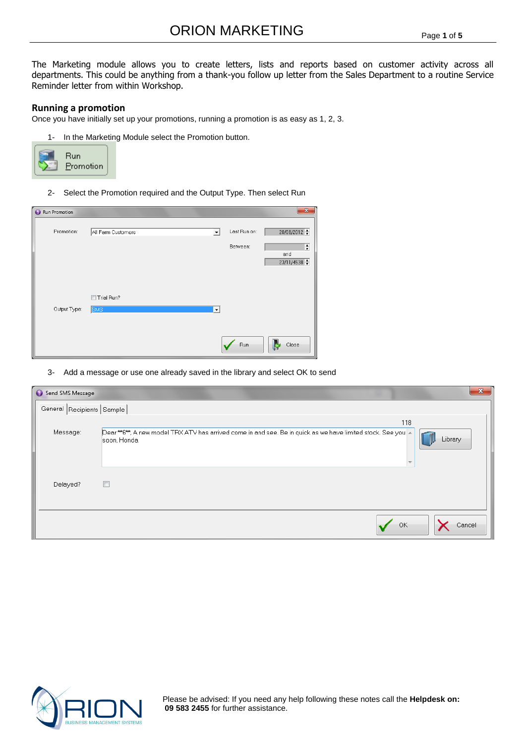The Marketing module allows you to create letters, lists and reports based on customer activity across all departments. This could be anything from a thank-you follow up letter from the Sales Department to a routine Service Reminder letter from within Workshop.

#### **Running a promotion**

Once you have initially set up your promotions, running a promotion is as easy as 1, 2, 3.

1- In the Marketing Module select the Promotion button.



2- Select the Promotion required and the Output Type. Then select Run

| Run Promotion |                          |              |              | $\mathbf{x}$                  |
|---------------|--------------------------|--------------|--------------|-------------------------------|
| Promotion:    | All Farm Customers       | ᅬ            | Last Run on: | $20/08/2012$ $\div$           |
|               |                          |              | Between:     | ÷<br>and<br>23/11/4538 $\div$ |
| Output Type:  | Trial Run?<br><b>SMS</b> | $\mathbf{r}$ |              |                               |
|               |                          |              | Run          | Close                         |

3- Add a message or use one already saved in the library and select OK to send

| Send SMS Message          | $\mathbf{x}$                                                                                                                                  |
|---------------------------|-----------------------------------------------------------------------------------------------------------------------------------------------|
| General Recipients Sample |                                                                                                                                               |
| Message:                  | 118<br>Dear **6**, A new model TRX ATV has arrived come in and see. Be in quick as we have limited stock. See you A<br>Library<br>soon, Honda |
| Delayed?                  | $\Box$                                                                                                                                        |
|                           | OK<br>Cancel                                                                                                                                  |



Please be advised: If you need any help following these notes call the **Helpdesk on: 09 583 2455** for further assistance.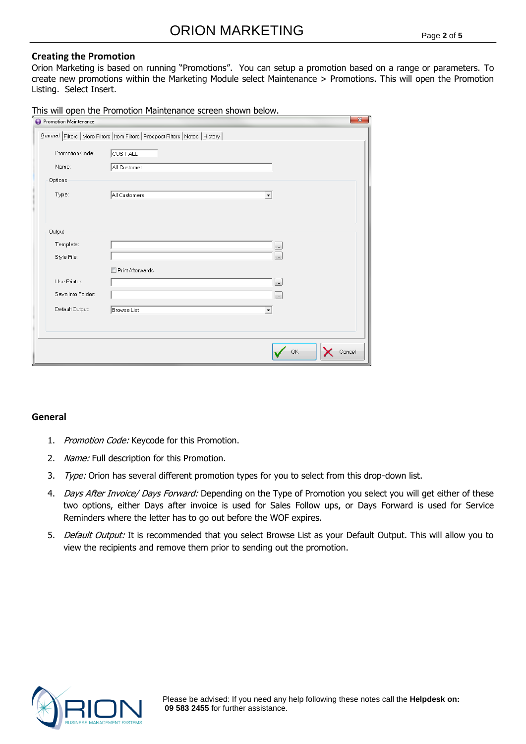### **Creating the Promotion**

Orion Marketing is based on running "Promotions". You can setup a promotion based on a range or parameters. To create new promotions within the Marketing Module select Maintenance > Promotions. This will open the Promotion Listing. Select Insert.

This will open the Promotion Maintenance screen shown below.

| Promotion Maintenance    | $\mathbf{x}$                                                                       |
|--------------------------|------------------------------------------------------------------------------------|
|                          | General Eilters   More Filters   Item Filters   Prospect Filters   Notes   History |
| Promotion Code:          | CUST-ALL                                                                           |
| Name:                    | All Customer                                                                       |
| Options                  |                                                                                    |
| Type:                    | All Customers<br>$\blacktriangledown$                                              |
| Output                   |                                                                                    |
| Template:<br>Style File: | $\cdots$<br>$\cdots$                                                               |
|                          | Print Afterwards                                                                   |
| Use Printer:             | $\ldots$                                                                           |
| Save Into Folder:        | $\cdots$                                                                           |
| Default Output:          | Browse List<br>$\blacktriangledown$                                                |
|                          |                                                                                    |
|                          |                                                                                    |
|                          | OK<br>Cancel                                                                       |

# **General**

- 1. Promotion Code: Keycode for this Promotion.
- 2. Name: Full description for this Promotion.
- 3. Type: Orion has several different promotion types for you to select from this drop-down list.
- 4. Days After Invoice/ Days Forward: Depending on the Type of Promotion you select you will get either of these two options, either Days after invoice is used for Sales Follow ups, or Days Forward is used for Service Reminders where the letter has to go out before the WOF expires.
- 5. Default Output: It is recommended that you select Browse List as your Default Output. This will allow you to view the recipients and remove them prior to sending out the promotion.

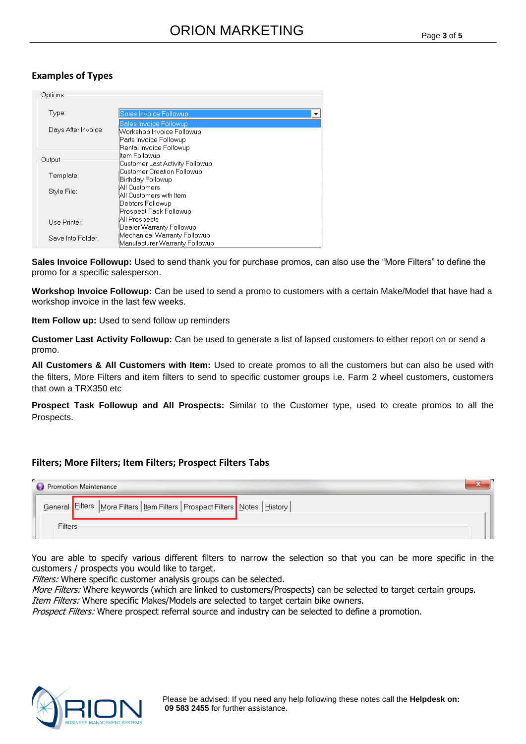#### Page **3** of **5**

# **Examples of Types**

| Options             |                                                                                                          |
|---------------------|----------------------------------------------------------------------------------------------------------|
| Type:               | Sales Invoice Followup<br>▼                                                                              |
| Days After Invoice: | Sales Invoice Followup<br>Workshop Invoice Followup<br>Parts Invoice Followup<br>Rental Invoice Followup |
| Output              | Item Followup<br>Customer Last Activity Followup                                                         |
| Template:           | Customer Creation Followup<br> Birthday Followup                                                         |
| Style File:         | All Customers<br>All Customers with Item.<br>Debtors Followup                                            |
|                     | Prospect Task Followup                                                                                   |
| Use Printer:        | All Prospects<br>Dealer Warranty Followup                                                                |
| Save Into Folder:   | Mechanical Warranty Followup<br>Manufacturer Warranty Followup                                           |

**Sales Invoice Followup:** Used to send thank you for purchase promos, can also use the "More Filters" to define the promo for a specific salesperson.

**Workshop Invoice Followup:** Can be used to send a promo to customers with a certain Make/Model that have had a workshop invoice in the last few weeks.

**Item Follow up:** Used to send follow up reminders

**Customer Last Activity Followup:** Can be used to generate a list of lapsed customers to either report on or send a promo.

**All Customers & All Customers with Item:** Used to create promos to all the customers but can also be used with the filters, More Filters and item filters to send to specific customer groups i.e. Farm 2 wheel customers, customers that own a TRX350 etc

**Prospect Task Followup and All Prospects:** Similar to the Customer type, used to create promos to all the Prospects.

# **Filters; More Filters; Item Filters; Prospect Filters Tabs**

| Promotion Maintenance                                                              |  |
|------------------------------------------------------------------------------------|--|
| General Eilters   More Filters   Item Filters   Prospect Filters   Notes   History |  |
| Filters                                                                            |  |

You are able to specify various different filters to narrow the selection so that you can be more specific in the customers / prospects you would like to target.

Filters: Where specific customer analysis groups can be selected.

More Filters: Where keywords (which are linked to customers/Prospects) can be selected to target certain groups.

Item Filters: Where specific Makes/Models are selected to target certain bike owners.

Prospect Filters: Where prospect referral source and industry can be selected to define a promotion.

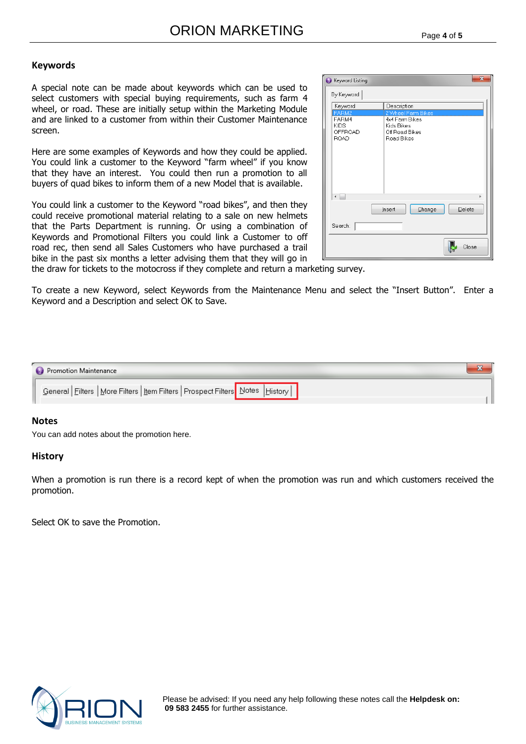#### **Keywords**

A special note can be made about keywords which can be used to select customers with special buying requirements, such as farm 4 wheel, or road. These are initially setup within the Marketing Module and are linked to a customer from within their Customer Maintenance screen.

Here are some examples of Keywords and how they could be applied. You could link a customer to the Keyword "farm wheel" if you know that they have an interest. You could then run a promotion to all buyers of quad bikes to inform them of a new Model that is available.

You could link a customer to the Keyword "road bikes", and then they could receive promotional material relating to a sale on new helmets that the Parts Department is running. Or using a combination of Keywords and Promotional Filters you could link a Customer to off road rec, then send all Sales Customers who have purchased a trail bike in the past six months a letter advising them that they will go in

| By Keyword<br>Keyword<br>Description<br>FARM2<br>2 Wheel Farm Bikes<br>FARM4<br>4x4 Farm Bikes<br><b>KIDS</b><br>Kids Bikes<br><b>OFFROAD</b><br>Off Road Bikes<br><b>ROAD</b><br>Road Bikes<br>b<br>Insert<br>Change<br>Delete<br>Search:<br>Close | $\overline{\mathbf{x}}$<br>Keyword Listing |  |  |  |
|-----------------------------------------------------------------------------------------------------------------------------------------------------------------------------------------------------------------------------------------------------|--------------------------------------------|--|--|--|
|                                                                                                                                                                                                                                                     |                                            |  |  |  |
|                                                                                                                                                                                                                                                     |                                            |  |  |  |
|                                                                                                                                                                                                                                                     |                                            |  |  |  |
|                                                                                                                                                                                                                                                     |                                            |  |  |  |

the draw for tickets to the motocross if they complete and return a marketing survey.

To create a new Keyword, select Keywords from the Maintenance Menu and select the "Insert Button". Enter a Keyword and a Description and select OK to Save.

| Promotion Maintenance                                                                |  |
|--------------------------------------------------------------------------------------|--|
| │ General Filters   More Filters   Item Filters   Prospect Filters   Notes   History |  |

#### **Notes**

You can add notes about the promotion here.

#### **History**

When a promotion is run there is a record kept of when the promotion was run and which customers received the promotion.

Select OK to save the Promotion.



Please be advised: If you need any help following these notes call the **Helpdesk on: 09 583 2455** for further assistance.